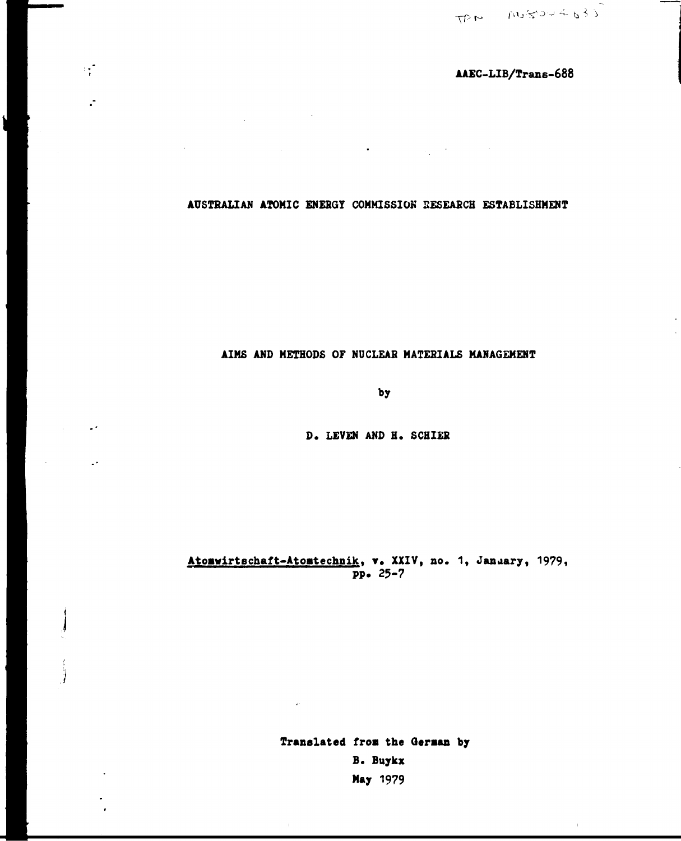$\bar{\rm I}$ 

# AAEC-LIB/Trans-688

AUSTRALIAN ATOMIC ENERGY COMMISSION RESEARCH ESTABLISHMENT

 $\bullet$  . The set of the set of the set of the set of the  $\mathcal{O}$ 

 $\mathcal{L}_{\mathbf{r}}^{\mathcal{L}}$ 

 $\ddot{\cdot}$ 

 $\mathbf{L}$ 

# AIMS AND METHODS OF NUCLEAR MATERIALS MANAGEMENT

by

D. LEVEN AND H. SCHIER

# Atomwirtschaft-Atomtechnik, v. XXIV, no. 1, January, 1979,  $pp. 25-7$

Translated from the German by B. Buykx May 1979

 $\mathcal{D}^{\mathcal{C}}$ 

 $\bar{1}$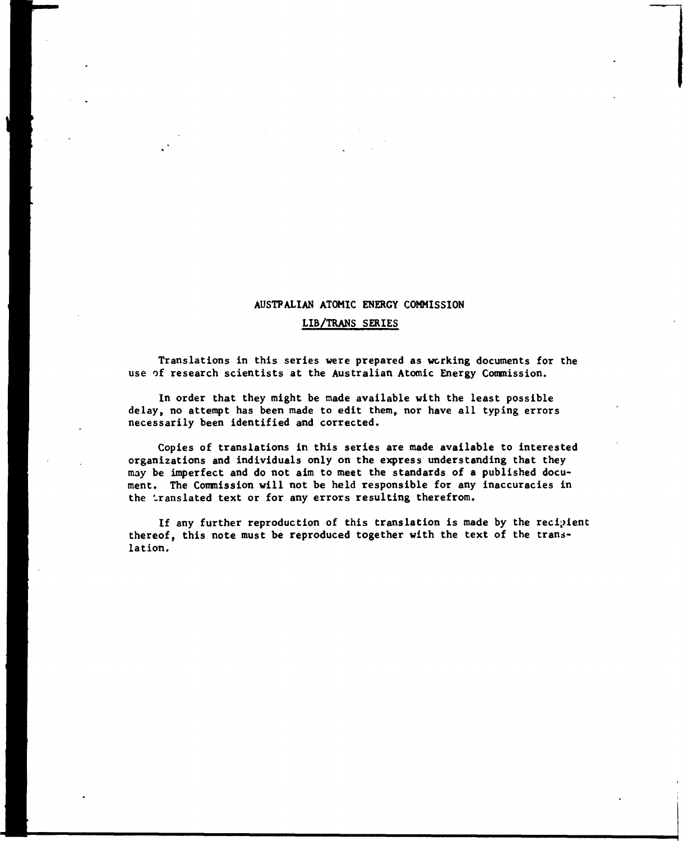## **AUSTPALIAN ATOMIC ENERGY COMMISSION**

## **LIB/TRANS SERIES**

**Translations in this series were prepared as working documents for the use of research scientists at the Australian Atomic Energy Commission.** 

**In order that they might be made available with the least possible delay, no attempt has been made to edit them, nor have all typing errors necessarily been identified and corrected.** 

**Copies of translations in this series are made available to interested organizations and individuals only on the express understanding that they may be imperfect and do not aim to meet the standards of a published document. The Commission will not be held responsible for any inaccuracies in the translated text or for any errors resulting therefrom.** 

**If any further reproduction of this translation is made by the recipient thereof, this note must be reproduced together with the text of the translation.**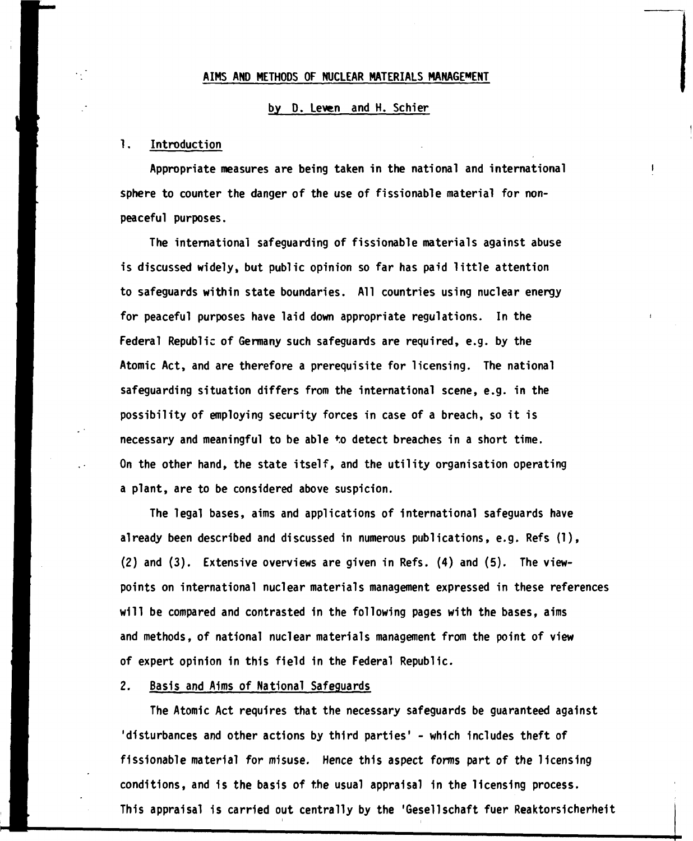## **AIMS AND METHODS OF NUCLEAR MATERIALS MANAGEMENT**

## **by D. Leven and H. Schier**

## **1. Introduction**

**Appropriate measures are being taken in the national and international sphere to counter the danger of the use of fissionable material for nonpeaceful purposes.** 

**The international safeguarding of fissionable materials against abuse is discussed widely, but public opinion so far has paid little attention to safeguards within state boundaries. All countries using nuclear energy for peaceful purposes have laid down appropriate regulations. In the Federal Republic of Germany such safeguards are required, e.g. by the Atomic Act, and are therefore a prerequisite for licensing. The national safeguarding situation differs from the international scene, e.g. in the possibility of employing security forces in case of a breach, so it is necessary and meaningful to be able to detect breaches in a short time. On the other hand, the state itself, and the utility organisation operating a plant, are to be considered above suspicion.** 

**The legal bases, aims and applications of international safeguards have already been described and discussed in numerous publications, e.g. Refs (1), (2) and (3). Extensive overviews are given in Refs. (4) and (5). The viewpoints on international nuclear materials management expressed in these references will be compared and contrasted in the following pages with the bases, aims and methods, of national nuclear materials management from the point of view of expert opinion in this field in the Federal Republic.** 

## **2. Basis and Aims of National Safeguards**

**The Atomic Act requires that the necessary safeguards be guaranteed against 'disturbances and other actions by third parties' - which includes theft of fissionable material for misuse. Hence this aspect forms part of the licensing conditions, and is the basis of the usual appraisal in the licensing process. This appraisal is carried out centrally by the 'Gesellschaft fuer Reaktorsicherheit**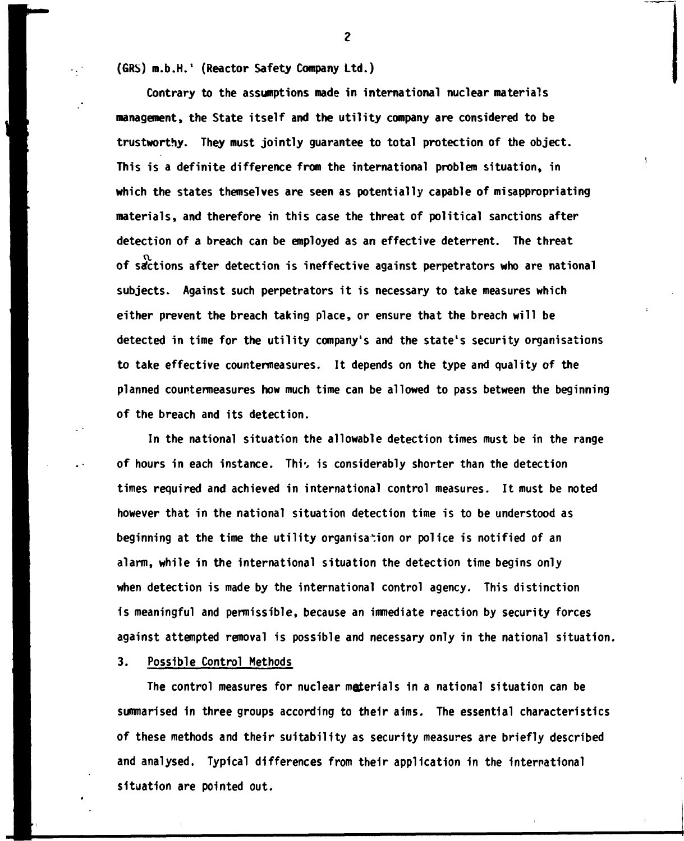**(GRS) m.b.H.' (Reactor Safety Company Ltd.)** 

**Contrary to the assumptions made in international nuclear materials management, the State itself and the utility company are considered to be trustworthy. They must jointly guarantee to total protection of the object. This is a definite difference from the international problem situation, in which the states themselves are seen as potentially capable of misappropriating materials, and therefore in this case the threat of political sanctions after detection of a breach can be employed as an effective deterrent. The threat**  of sactions after detection is ineffective against perpetrators who are national **subjects. Against such perpetrators it is necessary to take measures which either prevent the breach taking place, or ensure that the breach will be detected in time for the utility company's and the state's security organisations to take effective countermeasures. It depends on the type and quality of the planned countermeasures how much time can be allowed to pass between the beginning of the breach and its detection.** 

**In the national situation the allowable detection times must be in the range of hours in each instance. Thi', is considerably shorter than the detection times required and achieved in international control measures. It must be noted however that in the national situation detection time is to be understood as beginning at the time the utility organisation or police is notified of an alarm, while in the international situation the detection time begins only when detection is made by the international control agency. This distinction is meaningful and permissible, because an immediate reaction by security forces against attempted removal is possible and necessary only in the national situation.** 

**3. Possible Control Methods** 

**The control measures for nuclear materials in a national situation can be summarised in three groups according to their aims. The essential characteristics of these methods and their suitability as security measures are briefly described and analysed. Typical differences from their application in the international situation are pointed out.**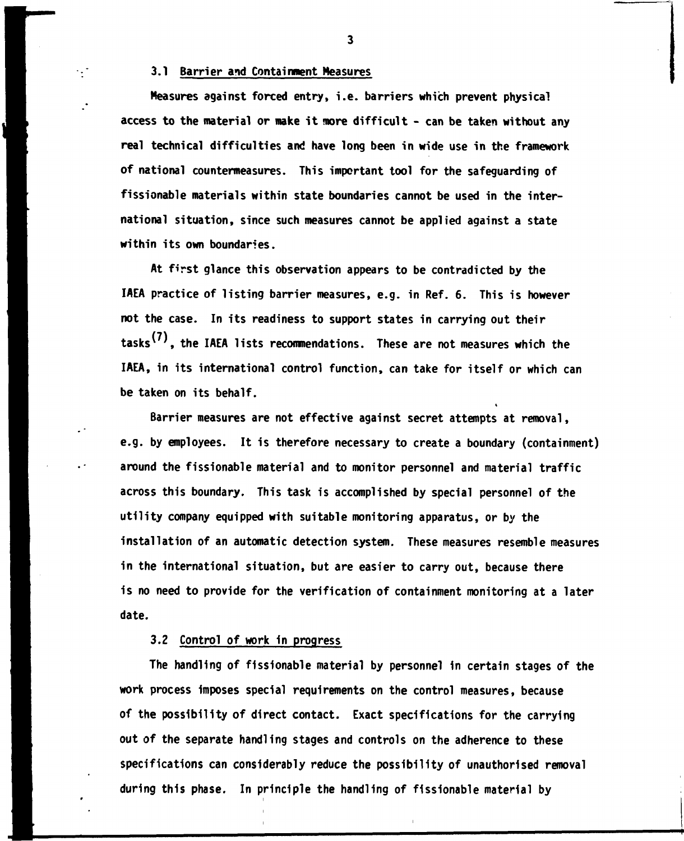## **3.1 Barrier and Containment Measures**

 $\cdot$  ,  $\cdot$ 

**Measures against forced entry, i.e. barriers which prevent physical access to the material or make it more difficult - can be taken without any real technical difficulties and have long been in wide use in the framework of national countermeasures. This important tool for the safeguarding of fissionable materials within state boundaries cannot be used in the international situation, since such measures cannot be applied against a state within its own boundaries.** 

**At first glance this observation appears to be contradicted by the IAEA practice of listing barrier measures, e.g. in Ref. 6. This is however not the case. In its readiness to support states in carrying out their**  tasks<sup>(7)</sup>, the IAEA lists recommendations. These are not measures which the **IAEA, in its international control function, can take for itself or which can be taken on its behalf.** 

**Barrier measures are not effective against secret attempts at removal, e.g. by employees. It is therefore necessary to create a boundary (containment) around the fissionable material and to monitor personnel and material traffic across this boundary. This task is accomplished by special personnel of the utility company equipped with suitable monitoring apparatus, or by the installation of an automatic detection system. These measures resemble measures in the international situation, but are easier to carry out, because there is no need to provide for the verification of containment monitoring at a later date.** 

## **3.2 Control of work in progress**

**The handling of fissionable material by personnel in certain stages of the work process imposes special requirements on the control measures, because of the possibility of direct contact. Exact specifications for the carrying out of the separate handling stages and controls on the adherence to these specifications can considerably reduce the possibility of unauthorised removal during this phase. In principle the handling of fissionable material by**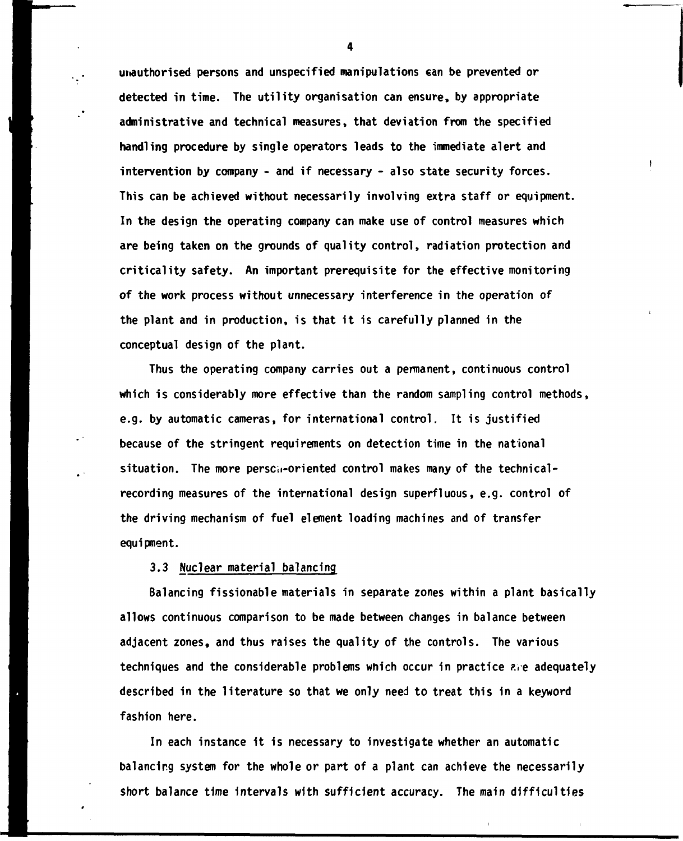**unauthorised persons and unspecified manipulations can be prevented or detected in time. The utility organisation can ensure, by appropriate administrative and technical measures, that deviation from the specified handling procedure by single operators leads to the immediate alert and intervention by company - and if necessary - also state security forces. This can be achieved without necessarily involving extra staff or equipment. In the design the operating company can make use of control measures which are being taken on the grounds of quality control, radiation protection and criticality safety. An important prerequisite for the effective monitoring of the work process without unnecessary interference in the operation of the plant and in production, is that it is carefully planned in the conceptual design of the plant.** 

**Thus the operating company carries out a permanent, continuous control which is considerably more effective than the random sampling control methods, e.g. by automatic cameras, for international control. It is justified because of the stringent requirements on detection time in the national situation. The more perseii-oriented control makes many of the technicalrecording measures of the international design superfluous, e.g. control of the driving mechanism of fuel element loading machines and of transfer equipment.** 

# **3.3 Nuclear material balancing**

**Balancing fissionable materials in separate zones within a plant basically allows continuous comparison to be made between changes in balance between adjacent zones, and thus raises the quality of the controls. The various techniques and the considerable problems which occur in practice ?.re adequately described in the literature so that we only need to treat this in a keyword fashion here.** 

**In each instance it is necessary to investigate whether an automatic balancing system for the whole or part of a plant can achieve the necessarily short balance time intervals with sufficient accuracy. The main difficulties**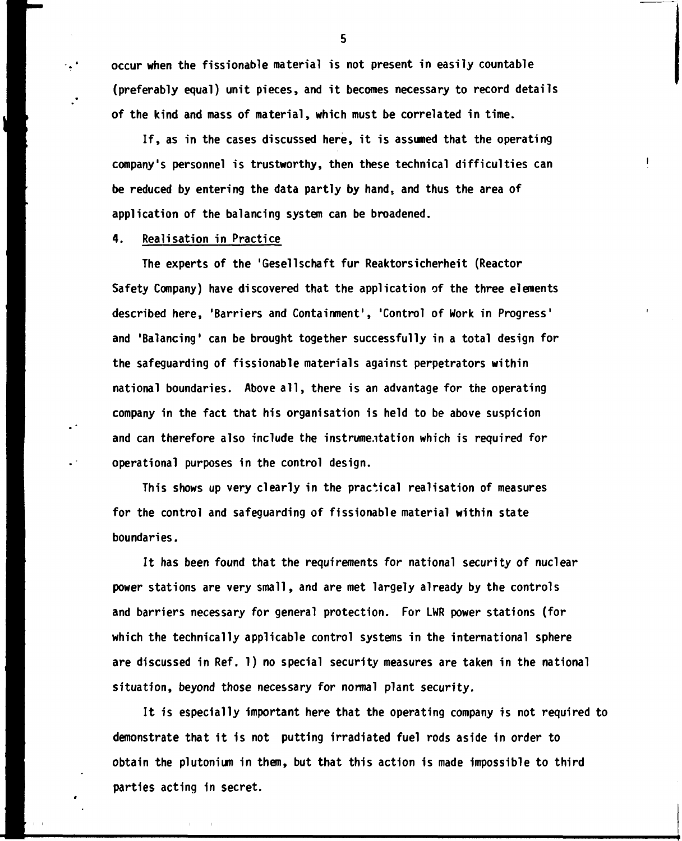**occur when the fissionable material is not present in easily countable (preferably equal) unit pieces, and it becomes necessary to record details of the kind and mass of material, which must be correlated in time.** 

**If, as in the cases discussed here, it is assumed that the operating company's personnel is trustworthy, then these technical difficulties can be reduced by entering the data partly by hand, and thus the area of application of the balancing system can be broadened.** 

 $\mathbf{I}$ 

## **4. Realisation in Practice**

۰.,۰

**The experts of the 'Gesellschaft fur Reaktorsicherheit (Reactor Safety Company) have discovered that the application of the three elements described here, 'Barriers and Containment', 'Control of Work in Progress' and 'Balancing\* can be brought together successfully in a total design for the safeguarding of fissionable materials against perpetrators within national boundaries. Above all, there is an advantage for the operating company in the fact that his organisation is held to be above suspicion and can therefore also include the instrumentation which is required for operational purposes in the control design.** 

**This shows up very clearly in the practical realisation of measures for the control and safeguarding of fissionable material within state boundaries.** 

**It has been found that the requirements for national security of nuclear power stations are very small, and are met largely already by the controls and barriers necessary for general protection. For LWR power stations (for which the technically applicable control systems in the international sphere are discussed in Ref. 1) no special security measures are taken in the national situation, beyond those necessary for normal plant security.** 

**It is especially important here that the operating company is not required to demonstrate that it is not putting irradiated fuel rods aside in order to obtain the plutonium in them, but that this action is made impossible to third parties acting in secret.**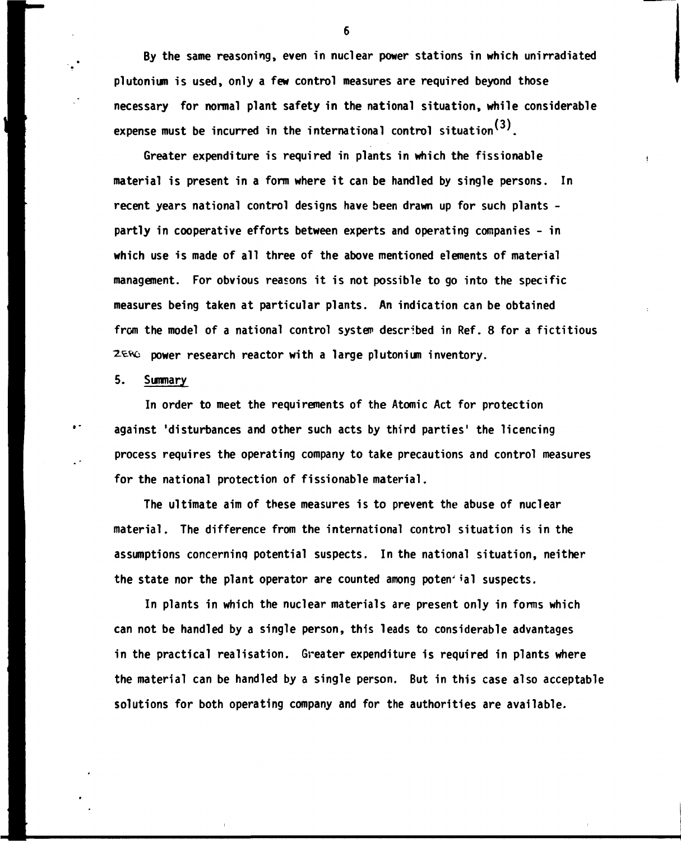**By the same reasoning, even in nuclear power stations in which unirradiated Plutonium is used, only a few control measures are required beyond those necessary for normal plant safety in the national situation, while considerable**  expense must be incurred in the international control situation<sup>(3)</sup>.

**Greater expenditure is required in plants in which the fissionable material is present in a form where it can be handled by single persons. In recent years national control designs have been drawn up for such plants partly in cooperative efforts between experts and operating companies - in which use is made of all three of the above mentioned elements of material management. For obvious reasons it is not possible to go into the specific measures being taken at particular plants. An indication can be obtained from the model of a national control system described in Ref. 8 for a fictitious 2.^\*6 power research reactor with a large plutonium inventory.** 

## **5. Summary**

 $\ddot{\phantom{1}}$ 

**In order to meet the requirements of the Atomic Act for protection against 'disturbances and other such acts by third parties' the licencing process requires the operating company to take precautions and control measures for the national protection of fissionable material.** 

**The ultimate aim of these measures is to prevent the abuse of nuclear material. The difference from the international control situation is in the assumptions concerninq potential suspects. In the national situation, neither**  the state nor the plant operator are counted among poten<sup>tial</sup> suspects.

**In plants in which the nuclear materials are present only in forms which can not be handled by a single person, this leads to considerable advantages in the practical realisation. Greater expenditure is required in plants where the material can be handled by a single person. But in this case also acceptable solutions for both operating company and for the authorities are available.**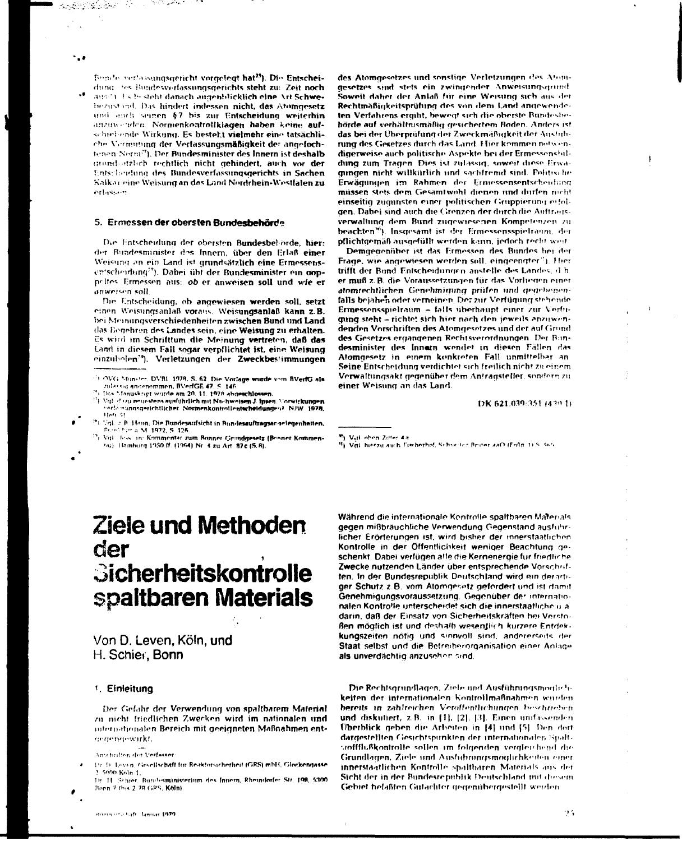tan di Kabupatén Ka

Bundle verlassingsgericht vorgelegt hat<sup>25</sup>). Die Entscheidung the Bundesverfassungsgerichts steht zu: Zeit noch ansili Es besteht danach augenblicklich eine Art Schwebezustand. Das hindert indessen nicht, das Atomgesetz und auch seinen §7 bis zur Entscheidung weiterhin anzuwenden. Normenkontrollklagen haben keine aufschief unde Wirkung. Es besteht vielmehr eine tatsächliche Vermittung der Verfassungsmäßigkeit der angefochtenen Nerm<sup>29</sup>). Der Bundesminister des Innern ist deshalb grond-atzlich rechtlich nicht gehindert, auch vor der Entscheidung des Bundesverfassungsgerichts in Sachen Kalkar eine Weisung an das Land Nordrhein-Westfalen zu erlassin

#### 5. Ermessen der obersten Bundesbehörde

المستحقق والأوارية

Die Entscheidung der obersten Bundesbehörde, hier: der Bundesminister des Innem, über den Erlaß einer Weisung an ein Land ist grundsätzlich eine Ermessensen'scheidung<sup>29</sup>). Dabei übt der Bundesminister ein goppoltes. Ermessen aus: ob er anweisen soll und wie er anweisen soll.

Die Entscheidung, ob angewiesen werden soll, setzt cinen Weisungsanlaß voraus. Weisungsanlaß kann z.B. bei Meinungsverschiedenheiten zwischen Bund und Land das Begehren des Landes sein, eine Weisung zu erhalten. Es wird im Schrifttum die Meinung vertreten, daß das Land in diesem Fall sogar verpflichtet ist, eine Weisung einzubolen<sup>79</sup>). Verletzungen der Zweckbestimmungen

- Das Manuskript wirde am 20. 11. 1978 abgeschlossen.
- Vgl. dazu neuestens ausführlich mit Nachweisen J. Insen. Vorwirkungen verfonsungsgetichtlicher Normenkontrollentscheidungen? NIW 1979,
- 25 MgL 2 B. Haun, Die Bundesaufsicht in Bundesauftragsangelegenheiten.<br>Brond fort a. M. 1972, S. 126.
- <sup>29</sup>) Vol. Joss. in: Kommentar zum Bonner Grundgesetz (Benner Kommen-(a) Hamburg 1950 ff. (1964) Nr. 4 zu Art. 87c (S.8).

des Atomgesetzes und sonstige Verletzungen des Atomgesetzes sind stets ein zwingender Anweisungsgrund Soweit daher der Anlaß für eine Weisung sich aus der Rechtmäßigkeitsprüfung des von dem Land angewendeten Verfahrens ergibt, bewegt sich die oberste Bundesbehörde auf verhältnismäßig gesichertem Boden. Anders ist das bei der Überprüfung der Zweckmäßigkeit der Austubrung des Gesetzes durch das Land. Hier kommen notwendigerweise auch politische Aspekte bei der Ermessenshildung zum Tragen. Dies ist zulässig, soweit diese Erwagungen nicht willkürlich und sachfremd sind. Politische Erwägungen im Rahmen der Ernessensentscheidung müssen stets dem Gesamtwohl dienen und durfen nicht einseitig zugunsten einer politischen Gruppierung erfolgen. Dabei sind auch die Grenzen der durch die Auftragsverwaltung dem Bund zugewiesenen Kompetenzen zu beachten<sup>36</sup>). Insgesamt ist der Ermessensspielraum, der pflichtgemäß ausgefüllt werden kann, jedoch recht weit

Demgegenüber ist das Ermessen des Bundes bei der Frage, wie angewiesen werden soll, eingeengter<sup>8</sup>). Hier trifft der Bund Entscheidungen anstelle des Landes, d.h. er muß z. B. die Voraussetzungen für das Vorlieden einer atomrechtlichen Genehmigung prüfen und gegebenenfalls bejahen oder verneinen. Der zur Verfügung stehende Ermessensspielraum - falls überhaupt einer zur Verfügung steht - richtet sich hier nach den jeweils anzuwendenden Vorschriften des Atomaesetzes und der auf Grund des Gesetzes ergängenen Rechtsverordnungen. Der Bundesminister des Innam wendet in diesen Fällen das Atomoesetz in einem konkreten Fall unmittelber an Seine Entscheidung verdichtet sich freilich nicht zu einem Verwaltungsakt gegenüber dem Antragsteller, sondern zu einer Weisung an das Land.

DK 621.039:351 (420.1)

<sup>31</sup>). Val. hierzu auch Eischerhof, Schneiler Briter aaO (Eußn. 1) S. Sici

# Ziele und Methoden der Sicherheitskontrolle spaltbaren Materials

Von D. Leven, Köln, und H. Schier, Bonn

### 1. Einleitung

Der Gefahr der Verwendung von spaltbarem Material zu nicht friedlichen Zwecken wird im nationalen und internationalen Bereich mit geeigneten Maßnahmen entceaepaewirkt.

Schier, Bundesministerium des Innern, Rheindorfer Str. 198, 5300  $D_2$   $H$ Bonn 7 this 2.78 GPS, Köln)

Während die internationale Kontrolle spaltbaren Materials gegen mißbräuchliche Verwendung Gegenstand ausführlicher Frörterungen ist wird bisher der innerstaatlichen Kontrolle in der Öffentlichkeit weniger Beachtung geschenkt. Dabei verfügen alle die Kernenergie für friedliche Zwecke nutzenden Länder über entsprechende Vorschriften. In der Bundesrepublik Deutschland wird ein derartiger Schutz z.B. vom Atomgesetz gefordert und ist damit Genehmigungsvoraussetzung. Gegenüber der internationalen Kontrolle unterscheidet sich die innerstaatliche u.a. darin, daß der Einsatz von Sicherheitskräften bei Verstoßen möglich ist und deshalb wesentlich kurzere Entdekkungszeiten nötig und sinnvoll sind, andererseits der Staat selbst und die Betreiberorganisation einer Anlage als unverdächtig anzuseher sind.

Die Rechtsgrundlagen, Ziele und Ausführungsmoglich**keiten der internationalen Kontrollmaßnahmen wurden** bereits in zahlreichen Veröffentlichungen beschrieben und diskutiert, z.B. in [1], [2]. [3]. Einen umfassenden Überblick geben die Arbeiten in [4] und [5]. Den dort dargestellten Gesichtspunkten der internationalen Spaltsinffflußkantralle sallen im folgenden vergleichend die Grundlagen, Ziele und Ausführungsmöglichkeiten einer innerstaatlichen Kontrolle spaltbaren Materials aus der Sicht der in der Bundesrepublik Deutschland mit diesem Gebiet befaßten Gutachter gegenübergestellt werden

<sup>(1)</sup> OVG Münster, DVBI 1978, S. 62. Die Vorlage wurde vom BVerfG als zularsig andenommen, BVerfGE 47, S. 146.

<sup>&</sup>lt;sup>10</sup>). Vitil oben Zitter 4n

Anschriften der Verfasser

Dr. D. Lovin, Gesellschaft für Reaktorsicherheit (GRS) mbH, Glockengasse 5000 Koln 1.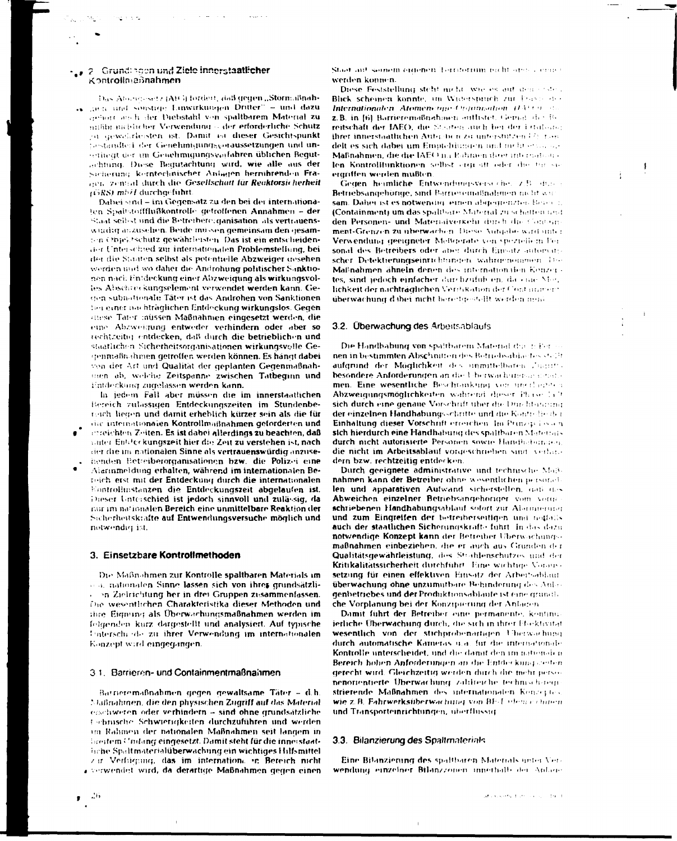#### 2 Grund: hoon und Ziele innerstaatlicher Kontrollmannahmen

Das Abonessetz (A) Gi fordert, daß gegen "Störmaßnahgien und sonstage Linwirkungen Dritter" - und dazu gebore and historic Dichstahl von spaltbarem Material zu mißbrauchlicher Verwendung - der erforderliche Schutz or gewährleisten ist. Damit ist dieser Gesichtspunkt tastandled der Genehmiqunqsyoraussetzungen und unserinegt der im Genehmigungsverfahren üblichen Bequtachtung. Diese Bequtachtung wird, wie alle aus der Sicherung kerntochnischer Anlagen hernihrenden Franon zentral durch die Gesellschaft für Reaktorsicherheit (GRS) mbil durchgeführt.

Dabei sind - im Gegensatz zu den bei der internationaten Spaitstoffflußkontrolle getroffenen Annahmen - der Staat sellest und die Betreibereiganisation als vertrauenswurdig auzusehen. Beide müssen gemeinsam den gesamten Objektschutz gewährleisten. Das ist ein entscheidender Unterschied zur internationalen Problemstellung, bei der die Staaten selbst als potentielle Abzweiger gesehen werden und wo daher die Androhung politischer Sanktionen nach Entdeckung einer Abzweigung als wirkungsvolles Abschreckungselement verwendet werden kann. Geden subnationale Täter ist das Androhen von Sanktionen ber einer nachträglichen Entdeckung wirkungslos. Gegen enese Tater müssen Maßnahmen eingesetzt werden, die eine Abzweigung entweder verhindern oder aber so rechtzeitig entdecken, daß durch die betrieblichen und staatlichen Sicherheitsorganisationen wirkungsvolle Gegenmaßn ihmen getroffen werden können. Es hängt dabei von der Art und Qualität der geplanten Gegenmaßnahmen ab, welche Zeitspanne zwischen Tatbeginn und Entdeckang zugelassen werden kann.

In jedem Fall aber müssen die im innerstaatlichen Bereich zulässigen Entdeckungszeiten im Stundenbereich liegen und damit erheblich kürzer sein als die für die internationalen Kontrollmaßnahmen geforderten und correichten Zeiten. Es ist dabei allerdings zu beachten, daß unter Entdeckungszeit hier die Zeit zu verstehen ist, nach der die im nationalen Sinne als vertrauenswürdig anzusehenden Betreiberorganisationen bzw. die Polizei eine Alarinmeldung erhalten, während im internationalen Bereich erst mit der Entdeckung durch die internationalen Eontrollinstanzen die Entdeckungszeit abgelaufen ist.

Dieser Unterschied ist jedoch sinnvoll und zulässig, da nur im nationalen Bereich eine unmittelbare Reaktion der Sicherheitskrafte auf Entwendungsversuche möglich und notwendig ist.

#### 3. Einsetzbare Kontrollmethoden

Die Maßnahmen zur Kontrolle spaltbaren Materials im o a. nationalen Sinne lassen sich von ihrer grundsätzlion Zielrichtung her in drei Gruppen zusammenfassen. The wesentlichen Charakteristika dieser Methoden und thre Eignung als Überwachungsmaßnahmen werden im folgenden kurz dargestellt und analysiert. Auf typische Unterschiede zu ihrer Verwendung im internationalen Konzept wird eingegangen.

#### 3.1. Barrieren- und Containmentmaßnahmen

Barneremaßnahmen gegen gewaltsame Täter - d.h. Maßnahmen, die den physischen Zugriff auf das Material eschweren oder verhindern - sind ohne grundsätzliche tochnische Schwierigkeiten durchzuführen und werden un Rahmen der nationalen Maßnahmen seit langem in breitem Unifang eingesetzt. Damit steht für die inneistaathche Spaltmaterialüberwachung ein wichtiges Hilfsmittel zur Verfürgung, das im internatione in Bereich nicht a verwendet wird, da derartige Maßnahmen gegen einen

- 26

Staat auf somem eigenen Territorium nicht onder einer werden konnen.

Diese Feststellung steht nicht, wie es auf den erstell Blick scheinen konnte, im Widerspruch zur Frasse der Internationalen Atomenergie-Ogganisation (1399) aus z.B. in [6] Barrieremaßnahmen auflistet, Gemal der Be reitschaft der JAEO, die Steaten auch bei der Ertabang threr innerstaatlichen Autochen zu unterstützen (?) zum delt es sich dabei um Emptehlungen und neht etwa sich Maßnahmen, die die IAEO im Rahmen dater international len Kontrollfunktionen selbst ergreift oder die ten sie etatiffen werden mußten.

Gegen heimliche Entwendungsverseche. Z.B. dieses Betriebsangehörige, sind Barrieremaßnahmen nicht wir sam. Daher ist es notwendig, einen abgegrenzten Bener z. (Containment) um das spaltbare Material zu schäffen und den Personen- und Matemaiverkehr durch die Containment-Grenzen zu überwachen. Diese Autoche wird unter Verwendung geeigneter Meßgerate von speziellem Fer sonal des Betreibers oder aber durch Einsatz automatischer Detektierungseinrichtungen wahrgenommen Die Maßnahmen ähneln denen des internationalen Kenzertes, sind jedoch einfacher durchzufühlen, da eine Mer, lichkeit der nachträglichen Verrlikation der Contammern überwachung dabei nicht bereitgestellt werden mus-

#### 3.2. Überwachung des Arbeitsablaufs

Die Handhabung von spaltbarem Material durch Pernen in bestimmten Abschnitten des Betriebsabiantes stellt aufgrund der Möglichkeit des unmittelbaren Zugritzbesondere Anforderungen an die Uberwachungsungstate men. Eine wesentliche Beschrankung von unerlanden Abzweigungsmöglichkeiten wahrend dieser Phase lact sich durch eine genaue Vorschrift über die Durchtungung der einzelnen Handhabungsschrifte und die Kontrellie der Einhaltung dieser Vorschrift erreichen Im Prinzip Lisan sich hierdurch eine Handhabung des spaltbaren Materials durch nicht autorisierte Personen sowie Handbeburgen. die nicht im Arbeitsablauf vorgeschrieben sind verlage dern bzw. rechtzeitig entdecken.

Durch geeignete administrative und technische Maßnahmen kann der Betreiber ohne wesentlichen personellen und apparativen Aufwand sicherstellen, daß des Abweichen einzelner Betriebsangehoriger vom vorge schriebenen Handhabungsablauf sofort zur Abarmerung und zum Eingreifen der betreiberseitigen und notfalls auch der staatlichen Sicherungskrafte führt. In das dazu notwendige Konzept kann der Betreiber Überwachungsmaßnahmen einbeziehen, die er auch aus Grunden der Qualitätsgewährleistung, des Strahlenschutzes und der Kritikalitätssicherheit durchführt. Eine wichtige Voraussetzung für einen effektiven Einsatz der Arbeitsabhaut überwachung ohne unzumutbare Behinderung des Anlagenbetriebes und der Produktionsabläufe ist eine grundl. che Vorplanung bei der Konzipierung der Anlagen

Damit führt der Betreiber eine permanente, kontinujerliche Überwachung durch, die sich in ihrer Ebektivität wesentlich von der stichprobenartigen Uberwachung durch automatische Kameras ma. für die internationale Kontrolle unterscheidet, und die damit den im nationalen Bereich hohen Anforderungen an die Entdeckung gesten gerecht wird. Gleichzeitig werden durch die mehr personenotientierte Überwachung zahlteiche technischsteige strietende Maßnahmen des internationalen Konzeptes wie z.B. Fahrwerksüberwachung von BF-Lademie chinen und Transporteinrichtungen, überflüssig

#### 3.3. Bilanzierung des Spaltmaterials

Eine Bilanzienung des spaltbaren Materials unter Verwendung einzelner Bilanzzonen innerhalb der Anlage